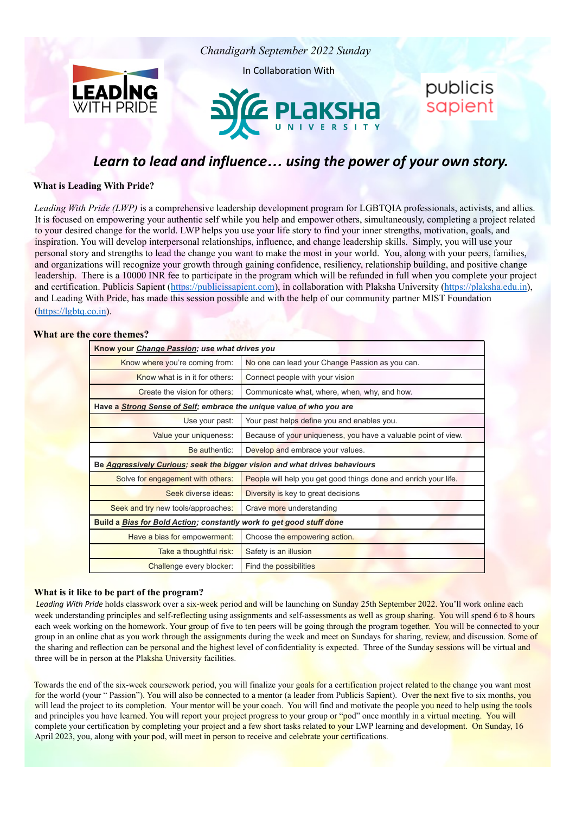

# *Learn to lead and influence… using the power of your own story.*

**What is Leading With Pride?**

*Leading With Pride (LWP)* is a comprehensive leadership development program for LGBTQIA professionals, activists, and allies. It is focused on empowering your authentic self while you help and empower others, simultaneously, completing a project related to your desired change for the world. LWP helps you use your life story to find your inner strengths, motivation, goals, and inspiration. You will develop interpersonal relationships, influence, and change leadership skills. Simply, you will use your personal story and strengths to lead the change you want to make the most in your world. You, along with your peers, families, and organizations will recognize your growth through gaining confidence, resiliency, relationship building, and positive change leadership. There is a 10000 INR fee to participate in the program which will be refunded in full when you complete your project and certification. Publicis Sapient (<https://publicissapient.com>), in collaboration with Plaksha University ([https://plaksha.edu.in](https://plaksha.edu.in/)), and Leading With Pride, has made this session possible and with the help of our community partner MIST Foundation (https://lgbtq.co.in).

## **What are the core themes?**

| Know your Change Passion; use what drives you                                     |                                                                 |  |  |
|-----------------------------------------------------------------------------------|-----------------------------------------------------------------|--|--|
| Know where you're coming from:                                                    | No one can lead your Change Passion as you can.                 |  |  |
| Know what is in it for others:                                                    | Connect people with your vision                                 |  |  |
| Create the vision for others:                                                     | Communicate what, where, when, why, and how.                    |  |  |
| Have a Strong Sense of Self; embrace the unique value of who you are              |                                                                 |  |  |
| Use your past:                                                                    | Your past helps define you and enables you.                     |  |  |
| Value your uniqueness:                                                            | Because of your uniqueness, you have a valuable point of view.  |  |  |
| Be authentic:                                                                     | Develop and embrace your values.                                |  |  |
| Be <b>Aggressively Curious; seek the bigger vision and what drives behaviours</b> |                                                                 |  |  |
| Solve for engagement with others:                                                 | People will help you get good things done and enrich your life. |  |  |
| Seek diverse ideas:                                                               | Diversity is key to great decisions                             |  |  |
| Seek and try new tools/approaches:                                                | Crave more understanding                                        |  |  |
| Build a Bias for Bold Action; constantly work to get good stuff done              |                                                                 |  |  |
| Have a bias for empowerment:                                                      | Choose the empowering action.                                   |  |  |
| Take a thoughtful risk:                                                           | Safety is an illusion                                           |  |  |
| Challenge every blocker:                                                          | Find the possibilities                                          |  |  |

#### **What is it like to be part of the program?**

*Leading With Pride* holds classwork over a six-week period and will be launching on Sunday 25th September 2022. You'll work online each week understanding principles and self-reflecting using assignments and self-assessments as well as group sharing. You will spend 6 to 8 hours each week working on the homework. Your group of five to ten peers will be going through the program together. You will be connected to your group in an online chat as you work through the assignments during the week and meet on Sundays for sharing, review, and discussion. Some of the sharing and reflection can be personal and the highest level of confidentiality is expected. Three of the Sunday sessions will be virtual and three will be in person at the Plaksha University facilities.

Towards the end of the six-week coursework period, you will finalize your goals for a certification project related to the change you want most for the world (your "Passion"). You will also be connected to a mentor (a leader from Publicis Sapient). Over the next five to six months, you will lead the project to its completion. Your mentor will be your coach. You will find and motivate the people you need to help using the tools and principles you have learned. You will report your project progress to your group or "pod" once monthly in a virtual meeting. You will complete your certification by completing your project and a few short tasks related to your LWP learning and development. On Sunday, 16 April 2023, you, along with your pod, will meet in person to receive and celebrate your certifications.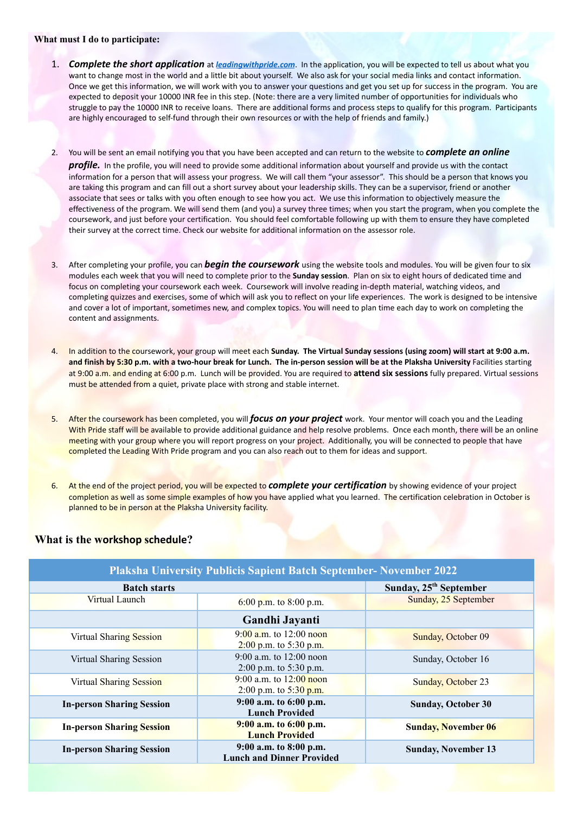#### **What must I do to participate:**

- 1. *Complete the short application* at *leadingwithpride.com*. In the application, you will be expected to tell us about what you want to change most in the world and a little bit about yourself. We also ask for your social media links and contact information. Once we get this information, we will work with you to answer your questions and get you set up for success in the program. You are expected to deposit your 10000 INR fee in this step. (Note: there are a very limited number of opportunities for individuals who struggle to pay the 10000 INR to receive loans. There are additional forms and process steps to qualify for this program. Participants are highly encouraged to self-fund through their own resources or with the help of friends and family.)
- 2. You will be sent an email notifying you that you have been accepted and can return to the website to *complete an online profile.* In the profile, you will need to provide some additional information about yourself and provide us with the contact information for a person that will assess your progress. We will call them "your assessor". This should be a person that knows you are taking this program and can fill out a short survey about your leadership skills. They can be a supervisor, friend or another associate that sees or talks with you often enough to see how you act. We use this information to objectively measure the effectiveness of the program. We will send them (and you) a survey three times; when you start the program, when you complete the coursework, and just before your certification. You should feel comfortable following up with them to ensure they have completed their survey at the correct time. Check our website for additional information on the assessor role.
- 3. After completing your profile, you can *begin the coursework* using the website tools and modules. You will be given four to six modules each week that you will need to complete prior to the **Sunday session**. Plan on six to eight hours of dedicated time and focus on completing your coursework each week. Coursework will involve reading in-depth material, watching videos, and completing quizzes and exercises, some of which will ask you to reflect on your life experiences. The work is designed to be intensive and cover a lot of important, sometimes new, and complex topics. You will need to plan time each day to work on completing the content and assignments.
- 4. In addition to the coursework, your group will meet each **Sunday. The Virtual Sunday sessions (using zoom) will start at 9:00 a.m. and finish by 5:30 p.m. with a two-hour break for Lunch. The in-person session will be at the Plaksha University** Facilities starting at 9:00 a.m. and ending at 6:00 p.m. Lunch will be provided. You are required to **attend six sessions** fully prepared. Virtual sessions must be attended from a quiet, private place with strong and stable internet.
- 5. After the coursework has been completed, you will *focus on your project* work. Your mentor will coach you and the Leading With Pride staff will be available to provide additional guidance and help resolve problems. Once each month, there will be an online meeting with your group where you will report progress on your project. Additionally, you will be connected to people that have completed the Leading With Pride program and you can also reach out to them for ideas and support.
- 6. At the end of the project period, you will be expected to *complete your certification* by showing evidence of your project completion as well as some simple examples of how you have applied what you learned. The certification celebration in October is planned to be in person at the Plaksha University facility.

## **What is the workshop schedule?**

| <b>Plaksha University Publicis Sapient Batch September- November 2022</b> |                                                            |                                    |  |
|---------------------------------------------------------------------------|------------------------------------------------------------|------------------------------------|--|
| <b>Batch starts</b>                                                       |                                                            | Sunday, 25 <sup>th</sup> September |  |
| Virtual Launch                                                            | 6:00 p.m. to 8:00 p.m.                                     | Sunday, 25 September               |  |
|                                                                           | Gandhi Jayanti                                             |                                    |  |
| Virtual Sharing Session                                                   | $9:00$ a.m. to 12:00 noon<br>$2:00$ p.m. to 5:30 p.m.      | Sunday, October 09                 |  |
| Virtual Sharing Session                                                   | 9:00 a.m. to $12:00$ noon<br>2:00 p.m. to 5:30 p.m.        | Sunday, October 16                 |  |
| Virtual Sharing Session                                                   | 9:00 a.m. to $12:00$ noon<br>2:00 p.m. to 5:30 p.m.        | Sunday, October 23                 |  |
| <b>In-person Sharing Session</b>                                          | 9:00 a.m. to 6:00 p.m.<br><b>Lunch Provided</b>            | <b>Sunday, October 30</b>          |  |
| <b>In-person Sharing Session</b>                                          | 9:00 a.m. to 6:00 p.m.<br><b>Lunch Provided</b>            | <b>Sunday, November 06</b>         |  |
| <b>In-person Sharing Session</b>                                          | 9:00 a.m. to 8:00 p.m.<br><b>Lunch and Dinner Provided</b> | <b>Sunday, November 13</b>         |  |